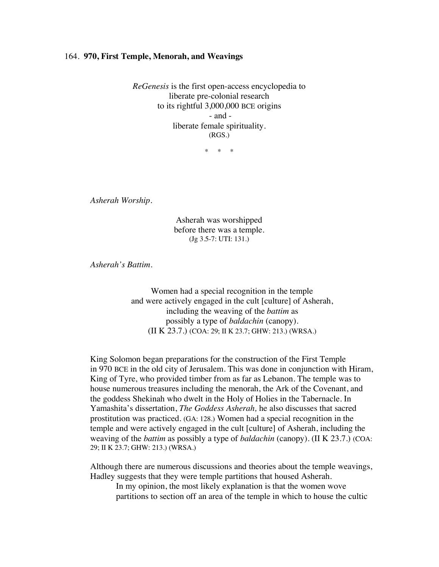## 164. **970, First Temple, Menorah, and Weavings**

*ReGenesis* is the first open-access encyclopedia to liberate pre-colonial research to its rightful 3,000,000 BCE origins - and liberate female spirituality. (RGS.)

\* \* \*

*Asherah Worship.*

Asherah was worshipped before there was a temple. (Jg 3.5-7: UTI: 131.)

*Asherah's Battim.*

Women had a special recognition in the temple and were actively engaged in the cult [culture] of Asherah, including the weaving of the *battim* as possibly a type of *baldachin* (canopy). (II K 23.7.) (COA: 29; II K 23.7; GHW: 213.) (WRSA.)

King Solomon began preparations for the construction of the First Temple in 970 BCE in the old city of Jerusalem. This was done in conjunction with Hiram, King of Tyre, who provided timber from as far as Lebanon. The temple was to house numerous treasures including the menorah, the Ark of the Covenant, and the goddess Shekinah who dwelt in the Holy of Holies in the Tabernacle. In Yamashita's dissertation, *The Goddess Asherah,* he also discusses that sacred prostitution was practiced. (GA: 128.) Women had a special recognition in the temple and were actively engaged in the cult [culture] of Asherah, including the weaving of the *battim* as possibly a type of *baldachin* (canopy). (II K 23.7.) (COA: 29; II K 23.7; GHW: 213.) (WRSA.)

Although there are numerous discussions and theories about the temple weavings, Hadley suggests that they were temple partitions that housed Asherah.

In my opinion, the most likely explanation is that the women wove partitions to section off an area of the temple in which to house the cultic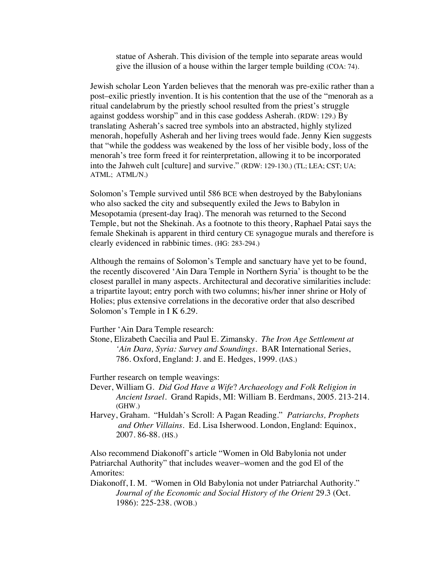statue of Asherah. This division of the temple into separate areas would give the illusion of a house within the larger temple building (COA: 74).

Jewish scholar Leon Yarden believes that the menorah was pre-exilic rather than a post–exilic priestly invention. It is his contention that the use of the "menorah as a ritual candelabrum by the priestly school resulted from the priest's struggle against goddess worship" and in this case goddess Asherah. (RDW: 129.) By translating Asherah's sacred tree symbols into an abstracted, highly stylized menorah, hopefully Asherah and her living trees would fade. Jenny Kien suggests that "while the goddess was weakened by the loss of her visible body, loss of the menorah's tree form freed it for reinterpretation, allowing it to be incorporated into the Jahweh cult [culture] and survive." (RDW: 129-130.) (TL; LEA; CST; UA; ATML; ATML/N.)

Solomon's Temple survived until 586 BCE when destroyed by the Babylonians who also sacked the city and subsequently exiled the Jews to Babylon in Mesopotamia (present-day Iraq). The menorah was returned to the Second Temple, but not the Shekinah. As a footnote to this theory, Raphael Patai says the female Shekinah is apparent in third century CE synagogue murals and therefore is clearly evidenced in rabbinic times. (HG: 283-294.)

Although the remains of Solomon's Temple and sanctuary have yet to be found, the recently discovered 'Ain Dara Temple in Northern Syria' is thought to be the closest parallel in many aspects. Architectural and decorative similarities include: a tripartite layout; entry porch with two columns; his/her inner shrine or Holy of Holies; plus extensive correlations in the decorative order that also described Solomon's Temple in I K 6.29.

Further 'Ain Dara Temple research:

Stone, Elizabeth Caecilia and Paul E. Zimansky. *The Iron Age Settlement at ʻAin Dara, Syria: Survey and Soundings*. BAR International Series, 786. Oxford, England: J. and E. Hedges, 1999. (IAS.)

Further research on temple weavings:

- Dever, William G. *Did God Have a Wife*? *Archaeology and Folk Religion in Ancient Israel.* Grand Rapids, MI: William B. Eerdmans, 2005. 213-214. (GHW.)
- Harvey, Graham. "Huldah's Scroll: A Pagan Reading." *Patriarchs, Prophets and Other Villains*. Ed. Lisa Isherwood. London, England: Equinox, 2007. 86-88. (HS.)

Also recommend Diakonoff's article "Women in Old Babylonia not under Patriarchal Authority" that includes weaver–women and the god El of the Amorites:

Diakonoff, I. M. "Women in Old Babylonia not under Patriarchal Authority." *Journal of the Economic and Social History of the Orient* 29.3 (Oct. 1986): 225-238. (WOB.)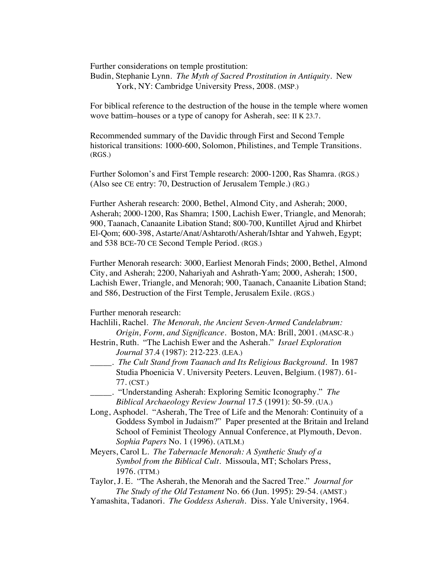Further considerations on temple prostitution:

Budin, Stephanie Lynn. *The Myth of Sacred Prostitution in Antiquity*. New York, NY: Cambridge University Press, 2008. (MSP.)

For biblical reference to the destruction of the house in the temple where women wove battim–houses or a type of canopy for Asherah, see: II K 23.7.

Recommended summary of the Davidic through First and Second Temple historical transitions: 1000-600, Solomon, Philistines, and Temple Transitions. (RGS.)

Further Solomon's and First Temple research: 2000-1200, Ras Shamra. (RGS.) (Also see CE entry: 70, Destruction of Jerusalem Temple.) (RG.)

Further Asherah research: 2000, Bethel, Almond City, and Asherah; 2000, Asherah; 2000-1200, Ras Shamra; 1500, Lachish Ewer, Triangle, and Menorah; 900, Taanach, Canaanite Libation Stand; 800-700, Kuntillet Ajrud and Khirbet El-Qom; 600-398, Astarte/Anat/Ashtaroth/Asherah/Ishtar and Yahweh, Egypt; and 538 BCE-70 CE Second Temple Period. (RGS.)

Further Menorah research: 3000, Earliest Menorah Finds; 2000, Bethel, Almond City, and Asherah; 2200, Nahariyah and Ashrath-Yam; 2000, Asherah; 1500, Lachish Ewer, Triangle, and Menorah; 900, Taanach, Canaanite Libation Stand; and 586, Destruction of the First Temple, Jerusalem Exile. (RGS.)

## Further menorah research:

- Hachlili, Rachel. *The Menorah, the Ancient Seven-Armed Candelabrum: Origin, Form, and Significance.* Boston, MA: Brill, 2001. (MASC-R.)
- Hestrin, Ruth. "The Lachish Ewer and the Asherah." *Israel Exploration Journal* 37.4 (1987): 212-223. (LEA.)
	- \_\_\_\_\_. *The Cult Stand from Taanach and Its Religious Background*. In 1987 Studia Phoenicia V. University Peeters. Leuven, Belgium. (1987). 61- 77. (CST.)
- \_\_\_\_\_. "Understanding Asherah: Exploring Semitic Iconography." *The Biblical Archaeology Review Journal* 17.5 (1991): 50-59. (UA.)
- Long, Asphodel. "Asherah, The Tree of Life and the Menorah: Continuity of a Goddess Symbol in Judaism?" Paper presented at the Britain and Ireland School of Feminist Theology Annual Conference, at Plymouth, Devon. *Sophia Papers* No. 1 (1996). (ATLM.)
- Meyers, Carol L. *The Tabernacle Menorah: A Synthetic Study of a Symbol from the Biblical Cult*. Missoula, MT; Scholars Press, 1976. (TTM.)

Taylor, J. E. "The Asherah, the Menorah and the Sacred Tree." *Journal for The Study of the Old Testament* No. 66 (Jun. 1995): 29-54. (AMST.)

Yamashita, Tadanori. *The Goddess Asherah.* Diss. Yale University, 1964.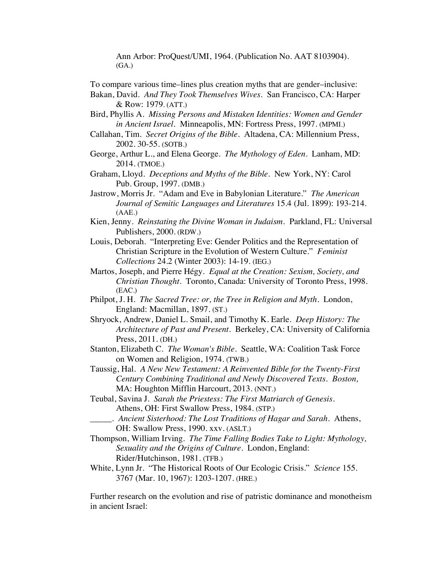Ann Arbor: ProQuest/UMI, 1964. (Publication No. AAT 8103904). (GA.)

To compare various time–lines plus creation myths that are gender–inclusive:

Bakan, David. *And They Took Themselves Wives*. San Francisco, CA: Harper & Row: 1979. (ATT.)

Bird, Phyllis A. *Missing Persons and Mistaken Identities: Women and Gender in Ancient Israel.* Minneapolis, MN: Fortress Press, 1997. (MPMI.)

Callahan, Tim. *Secret Origins of the Bible.* Altadena, CA: Millennium Press, 2002. 30-55. (SOTB.)

George, Arthur L., and Elena George. *The Mythology of Eden*. Lanham, MD: 2014. (TMOE.)

Graham, Lloyd. *Deceptions and Myths of the Bible*. New York, NY: Carol Pub. Group, 1997. (DMB.)

Jastrow, Morris Jr. "Adam and Eve in Babylonian Literature." *The American Journal of Semitic Languages and Literatures* 15.4 (Jul. 1899): 193-214. (AAE.)

Kien, Jenny. *Reinstating the Divine Woman in Judaism.* Parkland, FL: Universal Publishers, 2000. (RDW.)

Louis, Deborah. "Interpreting Eve: Gender Politics and the Representation of Christian Scripture in the Evolution of Western Culture." *Feminist Collections* 24.2 (Winter 2003): 14-19. (IEG.)

Martos, Joseph, and Pierre Hégy. *Equal at the Creation: Sexism, Society, and Christian Thought*. Toronto, Canada: University of Toronto Press, 1998. (EAC.)

Philpot, J. H. *The Sacred Tree: or, the Tree in Religion and Myth*. London, England: Macmillan, 1897. (ST.)

Shryock, Andrew, Daniel L. Smail, and Timothy K. Earle. *Deep History: The Architecture of Past and Present*. Berkeley, CA: University of California Press, 2011. (DH.)

Stanton, Elizabeth C. *The Woman's Bible*. Seattle, WA: Coalition Task Force on Women and Religion, 1974. (TWB.)

Taussig, Hal. *A New New Testament: A Reinvented Bible for the Twenty-First Century Combining Traditional and Newly Discovered Texts. Boston,*  MA: Houghton Mifflin Harcourt, 2013. (NNT.)

Teubal, Savina J. *Sarah the Priestess: The First Matriarch of Genesis*. Athens, OH: First Swallow Press, 1984. (STP.)

\_\_\_\_\_. *Ancient Sisterhood: The Lost Traditions of Hagar and Sarah*. Athens, OH: Swallow Press, 1990. xxv. (ASLT.)

Thompson, William Irving. *The Time Falling Bodies Take to Light: Mythology, Sexuality and the Origins of Culture.* London, England: Rider/Hutchinson, 1981. (TFB.)

White, Lynn Jr. "The Historical Roots of Our Ecologic Crisis." *Science* 155. 3767 (Mar. 10, 1967): 1203-1207. (HRE.)

Further research on the evolution and rise of patristic dominance and monotheism in ancient Israel: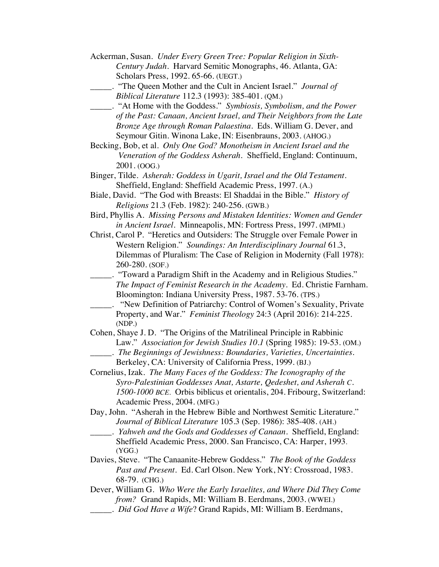| Ackerman, Susan. Under Every Green Tree: Popular Religion in Sixth-                                                                            |
|------------------------------------------------------------------------------------------------------------------------------------------------|
| Century Judah. Harvard Semitic Monographs, 46. Atlanta, GA:                                                                                    |
| Scholars Press, 1992. 65-66. (UEGT.)                                                                                                           |
| "The Queen Mother and the Cult in Ancient Israel." Journal of                                                                                  |
| Biblical Literature 112.3 (1993): 385-401. (QM.)                                                                                               |
| "At Home with the Goddess." Symbiosis, Symbolism, and the Power                                                                                |
| of the Past: Canaan, Ancient Israel, and Their Neighbors from the Late                                                                         |
| Bronze Age through Roman Palaestina. Eds. William G. Dever, and                                                                                |
| Seymour Gitin. Winona Lake, IN: Eisenbrauns, 2003. (AHOG.)                                                                                     |
| Becking, Bob, et al. Only One God? Monotheism in Ancient Israel and the                                                                        |
| Veneration of the Goddess Asherah. Sheffield, England: Continuum,                                                                              |
| 2001. (00G.)                                                                                                                                   |
| Binger, Tilde. Asherah: Goddess in Ugarit, Israel and the Old Testament.                                                                       |
| Sheffield, England: Sheffield Academic Press, 1997. (A.)                                                                                       |
| Biale, David. "The God with Breasts: El Shaddai in the Bible." History of                                                                      |
| Religions 21.3 (Feb. 1982): 240-256. (GWB.)                                                                                                    |
| Bird, Phyllis A. Missing Persons and Mistaken Identities: Women and Gender                                                                     |
| in Ancient Israel. Minneapolis, MN: Fortress Press, 1997. (MPMI.)                                                                              |
| Christ, Carol P. "Heretics and Outsiders: The Struggle over Female Power in                                                                    |
| Western Religion." Soundings: An Interdisciplinary Journal 61.3,                                                                               |
| Dilemmas of Pluralism: The Case of Religion in Modernity (Fall 1978):                                                                          |
| 260-280. (SOF.)                                                                                                                                |
| "Toward a Paradigm Shift in the Academy and in Religious Studies."                                                                             |
| The Impact of Feminist Research in the Academy. Ed. Christie Farnham.                                                                          |
| Bloomington: Indiana University Press, 1987. 53-76. (TPS.)                                                                                     |
| "New Definition of Patriarchy: Control of Women's Sexuality, Private                                                                           |
| Property, and War." Feminist Theology 24:3 (April 2016): 214-225.                                                                              |
| (NDP.)                                                                                                                                         |
| Cohen, Shaye J. D. "The Origins of the Matrilineal Principle in Rabbinic                                                                       |
| Law." Association for Jewish Studies 10.1 (Spring 1985): 19-53. (OM.)                                                                          |
| _. The Beginnings of Jewishness: Boundaries, Varieties, Uncertainties.                                                                         |
| Berkeley, CA: University of California Press, 1999. (BJ.)                                                                                      |
| Cornelius, Izak. The Many Faces of the Goddess: The Iconography of the                                                                         |
| Syro-Palestinian Goddesses Anat, Astarte, Qedeshet, and Asherah C.<br>1500-1000 BCE. Orbis biblicus et orientalis, 204. Fribourg, Switzerland: |
| Academic Press, 2004. (MFG.)                                                                                                                   |
| Day, John. "Asherah in the Hebrew Bible and Northwest Semitic Literature."                                                                     |
| Journal of Biblical Literature 105.3 (Sep. 1986): 385-408. (AH.)                                                                               |
| . Yahweh and the Gods and Goddesses of Canaan. Sheffield, England:                                                                             |
| Sheffield Academic Press, 2000. San Francisco, CA: Harper, 1993.                                                                               |
| (YGG.)                                                                                                                                         |
|                                                                                                                                                |

Davies, Steve. "The Canaanite-Hebrew Goddess." *The Book of the Goddess Past and Present*. Ed. Carl Olson. New York, NY: Crossroad, 1983. 68-79. (CHG.)

Dever, William G. *Who Were the Early Israelites, and Where Did They Come from?* Grand Rapids, MI: William B. Eerdmans, 2003. (WWEI.)

\_\_\_\_\_. *Did God Have a Wife*? Grand Rapids, MI: William B. Eerdmans,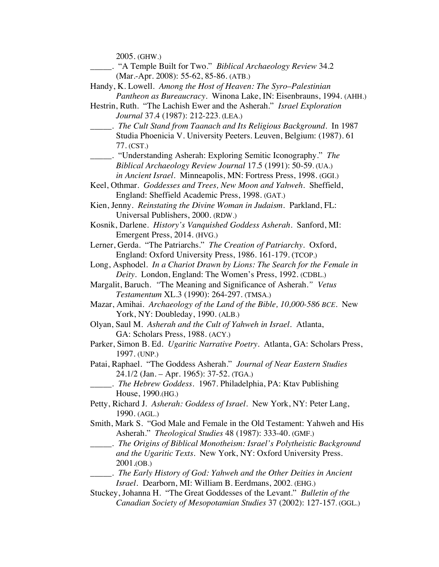2005. (GHW.)

- \_\_\_\_\_. "A Temple Built for Two." *Biblical Archaeology Review* 34.2 (Mar.-Apr. 2008): 55-62, 85-86. (ATB.)
- Handy, K. Lowell. *Among the Host of Heaven: The Syro*–*Palestinian Pantheon as Bureaucracy*. Winona Lake, IN: Eisenbrauns, 1994. (AHH.)
- Hestrin, Ruth. "The Lachish Ewer and the Asherah." *Israel Exploration Journal* 37.4 (1987): 212-223. (LEA.)
- \_\_\_\_\_. *The Cult Stand from Taanach and Its Religious Background*. In 1987 Studia Phoenicia V. University Peeters. Leuven, Belgium: (1987). 61 77. (CST.)
- \_\_\_\_\_. "Understanding Asherah: Exploring Semitic Iconography." *The Biblical Archaeology Review Journal* 17.5 (1991): 50-59. (UA.) *in Ancient Israel.* Minneapolis, MN: Fortress Press, 1998. (GGI.)
- Keel, Othmar. *Goddesses and Trees, New Moon and Yahweh*. Sheffield, England: Sheffield Academic Press, 1998. (GAT.)
- Kien, Jenny. *Reinstating the Divine Woman in Judaism.* Parkland, FL: Universal Publishers, 2000. (RDW.)
- Kosnik, Darlene. *History's Vanquished Goddess Asherah*. Sanford, MI: Emergent Press, 2014. (HVG.)

Lerner, Gerda. "The Patriarchs." *The Creation of Patriarchy.* Oxford, England: Oxford University Press, 1986. 161-179. (TCOP.)

- Long, Asphodel. *In a Chariot Drawn by Lions: The Search for the Female in Deity.* London, England: The Women's Press, 1992. (CDBL.)
- Margalit, Baruch. *"*The Meaning and Significance of Asherah.*" Vetus Testamentum* XL.3 (1990): 264-297. (TMSA.)
- Mazar, Amihai. *Archaeology of the Land of the Bible, 10,000-586 BCE.* New York, NY: Doubleday, 1990. (ALB.)
- Olyan, Saul M. *Asherah and the Cult of Yahweh in Israel.* Atlanta, GA: Scholars Press, 1988. (ACY.)
- Parker, Simon B. Ed. *Ugaritic Narrative Poetry.* Atlanta, GA: Scholars Press, 1997. (UNP.)
- Patai, Raphael. "The Goddess Asherah." *Journal of Near Eastern Studies* 24.1/2 (Jan. – Apr. 1965): 37-52. (TGA.)
	- \_\_\_\_\_. *The Hebrew Goddess.* 1967. Philadelphia, PA: Ktav Publishing House, 1990.(HG.)
- Petty, Richard J*. Asherah: Goddess of Israel*. New York, NY: Peter Lang, 1990. (AGL.)
- Smith, Mark S. "God Male and Female in the Old Testament: Yahweh and His Asherah." *Theological Studies* 48 (1987): 333-40. (GMF.)
	- \_\_\_\_\_. *The Origins of Biblical Monotheism: Israel's Polytheistic Background and the Ugaritic Texts*. New York, NY: Oxford University Press. 2001.(OB.)
- \_\_\_\_\_. *The Early History of God: Yahweh and the Other Deities in Ancient Israel.* Dearborn, MI: William B. Eerdmans, 2002. (EHG.)
- Stuckey, Johanna H. "The Great Goddesses of the Levant." *Bulletin of the Canadian Society of Mesopotamian Studies* 37 (2002): 127-157. (GGL.)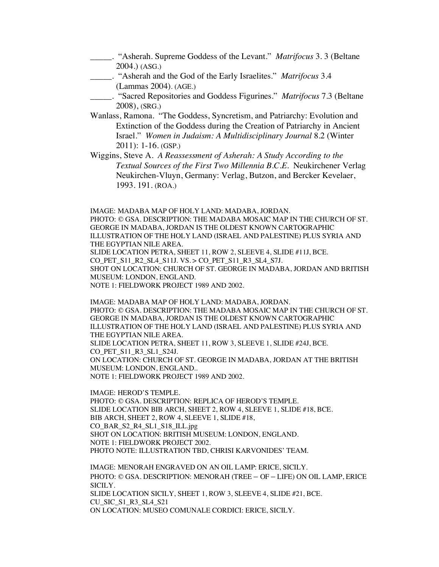- \_\_\_\_\_. "Asherah. Supreme Goddess of the Levant." *Matrifocus* 3. 3 (Beltane 2004.) (ASG.)
- \_\_\_\_\_. "Asherah and the God of the Early Israelites." *Matrifocus* 3.4 (Lammas 2004). (AGE.)
- \_\_\_\_\_. "Sacred Repositories and Goddess Figurines." *Matrifocus* 7.3 (Beltane 2008), (SRG.)
- Wanlass, Ramona. "The Goddess, Syncretism, and Patriarchy: Evolution and Extinction of the Goddess during the Creation of Patriarchy in Ancient Israel." *Women in Judaism: A Multidisciplinary Journal* 8.2 (Winter 2011): 1-16. (GSP.)
- Wiggins, Steve A. *A Reassessment of Asherah: A Study According to the Textual Sources of the First Two Millennia B.C.E.* Neukirchener Verlag Neukirchen-Vluyn, Germany: Verlag, Butzon, and Bercker Kevelaer, 1993. 191. (ROA.)

IMAGE: MADABA MAP OF HOLY LAND: MADABA, JORDAN.

PHOTO: © GSA. DESCRIPTION: THE MADABA MOSAIC MAP IN THE CHURCH OF ST. GEORGE IN MADABA, JORDAN IS THE OLDEST KNOWN CARTOGRAPHIC ILLUSTRATION OF THE HOLY LAND (ISRAEL AND PALESTINE) PLUS SYRIA AND THE EGYPTIAN NILE AREA. SLIDE LOCATION PETRA, SHEET 11, ROW 2, SLEEVE 4, SLIDE #11J, BCE. CO\_PET\_S11\_R2\_SL4\_S11J. VS. > CO\_PET\_S11\_R3\_SL4\_S7J. SHOT ON LOCATION: CHURCH OF ST. GEORGE IN MADABA, JORDAN AND BRITISH MUSEUM: LONDON, ENGLAND.

NOTE 1: FIELDWORK PROJECT 1989 AND 2002.

IMAGE: MADABA MAP OF HOLY LAND: MADABA, JORDAN. PHOTO: © GSA. DESCRIPTION: THE MADABA MOSAIC MAP IN THE CHURCH OF ST. GEORGE IN MADABA, JORDAN IS THE OLDEST KNOWN CARTOGRAPHIC ILLUSTRATION OF THE HOLY LAND (ISRAEL AND PALESTINE) PLUS SYRIA AND THE EGYPTIAN NILE AREA. SLIDE LOCATION PETRA, SHEET 11, ROW 3, SLEEVE 1, SLIDE #24J, BCE. CO PET S11 R3 SL1 S24J. ON LOCATION: CHURCH OF ST. GEORGE IN MADABA, JORDAN AT THE BRITISH MUSEUM: LONDON, ENGLAND..

NOTE 1: FIELDWORK PROJECT 1989 AND 2002.

IMAGE: HEROD'S TEMPLE. PHOTO: © GSA. DESCRIPTION: REPLICA OF HEROD'S TEMPLE. SLIDE LOCATION BIB ARCH, SHEET 2, ROW 4, SLEEVE 1, SLIDE #18, BCE. BIB ARCH, SHEET 2, ROW 4, SLEEVE 1, SLIDE #18, CO\_BAR\_S2\_R4\_SL1\_S18\_ILL.jpg SHOT ON LOCATION: BRITISH MUSEUM: LONDON, ENGLAND. NOTE 1: FIELDWORK PROJECT 2002. PHOTO NOTE: ILLUSTRATION TBD, CHRISI KARVONIDES' TEAM.

IMAGE: MENORAH ENGRAVED ON AN OIL LAMP: ERICE, SICILY. PHOTO: © GSA. DESCRIPTION: MENORAH (TREE – OF – LIFE) ON OIL LAMP, ERICE SICILY. SLIDE LOCATION SICILY, SHEET 1, ROW 3, SLEEVE 4, SLIDE #21, BCE. CU\_SIC\_S1\_R3\_SL4\_S21 ON LOCATION: MUSEO COMUNALE CORDICI: ERICE, SICILY.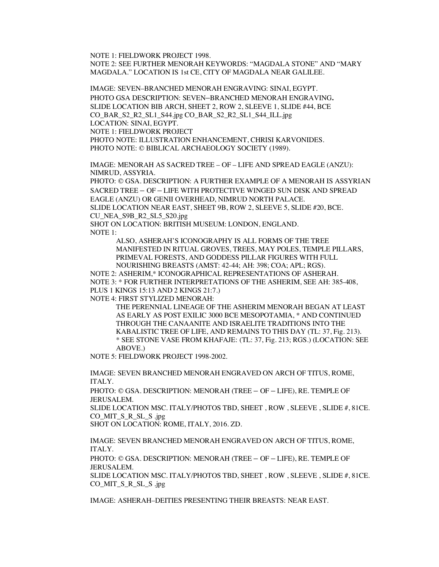NOTE 1: FIELDWORK PROJECT 1998. NOTE 2: SEE FURTHER MENORAH KEYWORDS: "MAGDALA STONE" AND "MARY MAGDALA." LOCATION IS 1st CE, CITY OF MAGDALA NEAR GALILEE.

IMAGE: SEVEN–BRANCHED MENORAH ENGRAVING: SINAI, EGYPT. PHOTO GSA DESCRIPTION: SEVEN–BRANCHED MENORAH ENGRAVING**.**  SLIDE LOCATION BIB ARCH, SHEET 2, ROW 2, SLEEVE 1, SLIDE #44, BCE CO\_BAR\_S2\_R2\_SL1\_S44.jpg CO\_BAR\_S2\_R2\_SL1\_S44\_ILL.jpg LOCATION: SINAI, EGYPT. NOTE 1: FIELDWORK PROJECT PHOTO NOTE: ILLUSTRATION ENHANCEMENT, CHRISI KARVONIDES. PHOTO NOTE: © BIBLICAL ARCHAEOLOGY SOCIETY (1989).

IMAGE: MENORAH AS SACRED TREE – OF – LIFE AND SPREAD EAGLE (ANZU): NIMRUD, ASSYRIA.

PHOTO: © GSA. DESCRIPTION: A FURTHER EXAMPLE OF A MENORAH IS ASSYRIAN SACRED TREE – OF – LIFE WITH PROTECTIVE WINGED SUN DISK AND SPREAD EAGLE (ANZU) OR GENII OVERHEAD, NIMRUD NORTH PALACE. SLIDE LOCATION NEAR EAST, SHEET 9B, ROW 2, SLEEVE 5, SLIDE #20, BCE. CU\_NEA\_S9B\_R2\_SL5\_S20.jpg SHOT ON LOCATION: BRITISH MUSEUM: LONDON, ENGLAND. NOTE 1:

ALSO, ASHERAH'S ICONOGRAPHY IS ALL FORMS OF THE TREE MANIFESTED IN RITUAL GROVES, TREES, MAY POLES, TEMPLE PILLARS, PRIMEVAL FORESTS, AND GODDESS PILLAR FIGURES WITH FULL

NOURISHING BREASTS (AMST: 42-44; AH: 398; COA; APL; RGS). NOTE 2: ASHERIM,\* ICONOGRAPHICAL REPRESENTATIONS OF ASHERAH. NOTE 3: \* FOR FURTHER INTERPRETATIONS OF THE ASHERIM, SEE AH: 385-408, PLUS 1 KINGS 15:13 AND 2 KINGS 21:7.)

NOTE 4: FIRST STYLIZED MENORAH:

THE PERENNIAL LINEAGE OF THE ASHERIM MENORAH BEGAN AT LEAST AS EARLY AS POST EXILIC 3000 BCE MESOPOTAMIA, \* AND CONTINUED THROUGH THE CANAANITE AND ISRAELITE TRADITIONS INTO THE KABALISTIC TREE OF LIFE, AND REMAINS TO THIS DAY (TL: 37, Fig. 213). \* SEE STONE VASE FROM KHAFAJE: (TL: 37, Fig. 213; RGS.) (LOCATION: SEE ABOVE.)

NOTE 5: FIELDWORK PROJECT 1998-2002.

IMAGE: SEVEN BRANCHED MENORAH ENGRAVED ON ARCH OF TITUS, ROME, ITALY.

PHOTO: © GSA. DESCRIPTION: MENORAH (TREE – OF – LIFE), RE. TEMPLE OF JERUSALEM.

SLIDE LOCATION MSC. ITALY/PHOTOS TBD, SHEET , ROW , SLEEVE , SLIDE #, 81CE. CO\_MIT\_S\_R\_SL\_S .jpg

SHOT ON LOCATION: ROME, ITALY, 2016. ZD.

IMAGE: SEVEN BRANCHED MENORAH ENGRAVED ON ARCH OF TITUS, ROME, ITALY.

PHOTO: © GSA. DESCRIPTION: MENORAH (TREE – OF – LIFE), RE. TEMPLE OF JERUSALEM.

SLIDE LOCATION MSC. ITALY/PHOTOS TBD, SHEET , ROW , SLEEVE , SLIDE #, 81CE. CO\_MIT\_S\_R\_SL\_S .jpg

IMAGE: ASHERAH–DEITIES PRESENTING THEIR BREASTS: NEAR EAST.